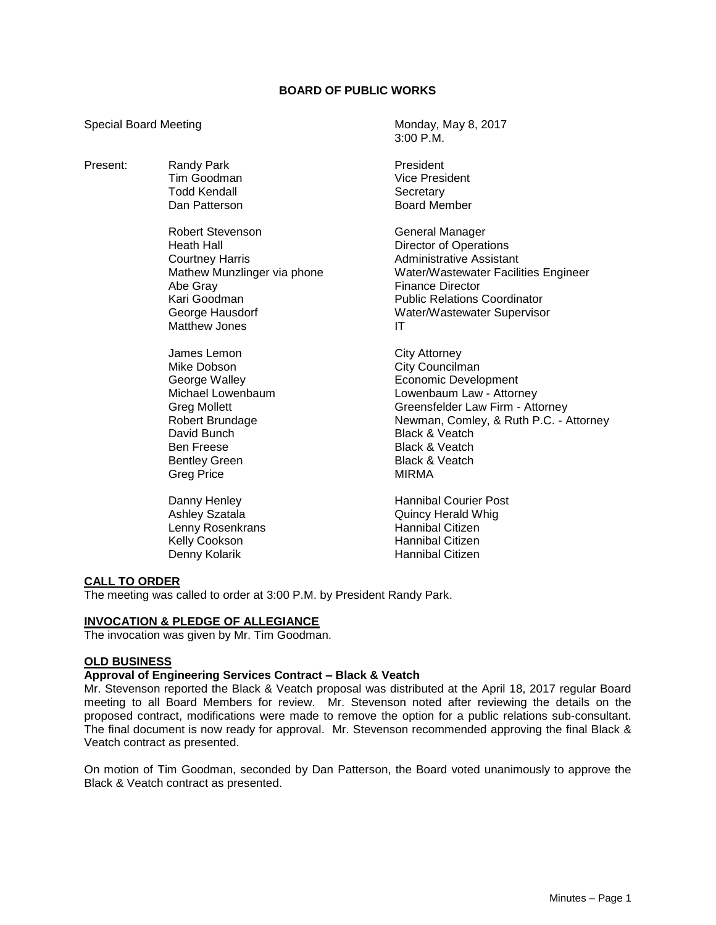## **BOARD OF PUBLIC WORKS**

3:00 P.M.

Special Board Meeting Monday, May 8, 2017

| Present: | <b>Randy Park</b><br>Tim Goodman<br><b>Todd Kendall</b><br>Dan Patterson                                                                                                                    | President<br>Vice President<br>Secretary<br><b>Board Member</b>                                                                                                                                                                                                                         |
|----------|---------------------------------------------------------------------------------------------------------------------------------------------------------------------------------------------|-----------------------------------------------------------------------------------------------------------------------------------------------------------------------------------------------------------------------------------------------------------------------------------------|
|          | <b>Robert Stevenson</b><br><b>Heath Hall</b><br><b>Courtney Harris</b><br>Mathew Munzlinger via phone<br>Abe Gray<br>Kari Goodman<br>George Hausdorf<br><b>Matthew Jones</b>                | General Manager<br>Director of Operations<br><b>Administrative Assistant</b><br>Water/Wastewater Facilities Engineer<br><b>Finance Director</b><br><b>Public Relations Coordinator</b><br>Water/Wastewater Supervisor<br>ΙT                                                             |
|          | James Lemon<br>Mike Dobson<br>George Walley<br>Michael Lowenbaum<br><b>Greg Mollett</b><br>Robert Brundage<br>David Bunch<br><b>Ben Freese</b><br><b>Bentley Green</b><br><b>Greg Price</b> | <b>City Attorney</b><br>City Councilman<br><b>Economic Development</b><br>Lowenbaum Law - Attorney<br>Greensfelder Law Firm - Attorney<br>Newman, Comley, & Ruth P.C. - Attorney<br><b>Black &amp; Veatch</b><br><b>Black &amp; Veatch</b><br><b>Black &amp; Veatch</b><br><b>MIRMA</b> |
|          | Danny Henley<br>Ashley Szatala<br>Lenny Rosenkrans<br>Kelly Cookson<br>Denny Kolarik                                                                                                        | <b>Hannibal Courier Post</b><br><b>Quincy Herald Whig</b><br><b>Hannibal Citizen</b><br>Hannibal Citizen<br>Hannibal Citizen                                                                                                                                                            |

### **CALL TO ORDER**

The meeting was called to order at 3:00 P.M. by President Randy Park.

### **INVOCATION & PLEDGE OF ALLEGIANCE**

The invocation was given by Mr. Tim Goodman.

#### **OLD BUSINESS**

## **Approval of Engineering Services Contract – Black & Veatch**

Mr. Stevenson reported the Black & Veatch proposal was distributed at the April 18, 2017 regular Board meeting to all Board Members for review. Mr. Stevenson noted after reviewing the details on the proposed contract, modifications were made to remove the option for a public relations sub-consultant. The final document is now ready for approval. Mr. Stevenson recommended approving the final Black & Veatch contract as presented.

On motion of Tim Goodman, seconded by Dan Patterson, the Board voted unanimously to approve the Black & Veatch contract as presented.